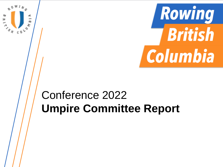

# Conference 2022 **Umpire Committee Report**

H

**ASH CONT** 

œ,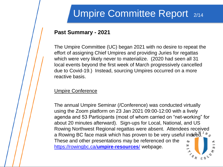# Umpire Committee Report 2/14

### **Past Summary - 2021**

The Umpire Committee (UC) began 2021 with no desire to repeat the effort of assigning Chief Umpires and providing Juries for regattas which were very likely never to materialize. (2020 had seen all 31 local events beyond the first week of March progressively cancelled due to Covid-19.) Instead, sourcing Umpires occurred on a more reactive basis.

#### Umpire Conference

The annual Umpire Seminar (/Conference) was conducted virtually using the Zoom platform on 23 Jan 2021 09:00-12:00 with a lively agenda and 53 Participants (most of whom carried on "net-working" for about 20 minutes afterward). Sign-ups for Local, National, and US Rowing Northwest Regional regattas were absent. Attendees received a Rowing BC face mask which has proven to be very useful indeed.  $N_{\varphi}$ These and other presentations may be referenced on the H [https://rowingbc.ca/](https://rowingbc.ca/umpire-resources/)**[umpire-resources](https://rowingbc.ca/umpire-resources/)**[/](https://rowingbc.ca/umpire-resources/) webpage. $\overline{a}$   $\overline{b}$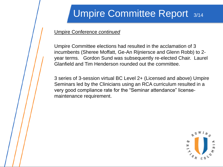# Umpire Committee Report 3/14

#### Umpire Conference *continued*

Umpire Committee elections had resulted in the acclamation of 3 incumbents (Sheree Moffatt, Ge-An Rijniersce and Glenn Robb) to 2 year terms. Gordon Sund was subsequently re-elected Chair. Laurel Glanfield and Tim Henderson rounded out the committee.

3 series of 3-session virtual BC Level 2+ (Licensed and above) Umpire Seminars led by the Clinicians using an RCA curriculum resulted in a very good compliance rate for the "Seminar attendance" licensemaintenance requirement.

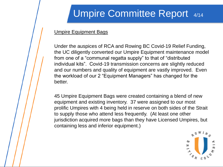# Umpire Committee Report 4/14

#### Umpire Equipment Bags

Under the auspices of RCA and Rowing BC Covid-19 Relief Funding, the UC diligently converted our Umpire Equipment maintenance model from one of a "communal regatta supply" to that of "distributed individual kits". Covid-19 transmission concerns are slightly reduced and our numbers and quality of equipment are vastly improved. Even the workload of our 2 "Equipment Managers" has changed for the better.

45 Umpire Equipment Bags were created containing a blend of new equipment and existing inventory. 37 were assigned to our most prolific Umpires with 4 being held in reserve on both sides of the Strait to supply those who attend less frequently. (At least one other jurisdiction acquired more bags than they have Licensed Umpires, but containing less and inferior equipment.)

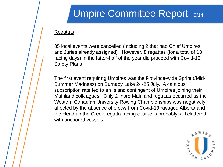### Umpire Committee Report 5/14

#### **Regattas**

35 local events were cancelled (including 2 that had Chief Umpires and Juries already assigned). However, 8 regattas (for a total of 13 racing days) in the latter-half of the year did proceed with Covid-19 Safety Plans.

The first event requiring Umpires was the Province-wide Sprint (/Mid-Summer Madness) on Burnaby Lake 24-25 July. A cautious subscription rate led to an Island contingent of Umpires joining their Mainland colleagues. Only 2 more Mainland regattas occurred as the Western Canadian University Rowing Championships was negatively affected by the absence of crews from Covid-19 ravaged Alberta and the Head up the Creek regatta racing course is probably still cluttered with anchored vessels.

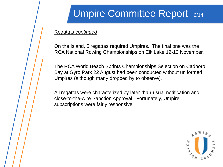# Umpire Committee Report 6/14

#### Regattas *continued*

On the Island, 5 regattas required Umpires. The final one was the RCA National Rowing Championships on Elk Lake 12-13 November.

The RCA World Beach Sprints Championships Selection on Cadboro Bay at Gyro Park 22 August had been conducted without uniformed Umpires (although many dropped by to observe).

All regattas were characterized by later-than-usual notification and close-to-the-wire Sanction Approval. Fortunately, Umpire subscriptions were fairly responsive.

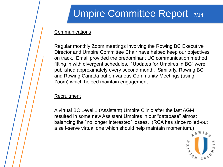# Umpire Committee Report 7/14

#### **Communications**

Regular monthly Zoom meetings involving the Rowing BC Executive Director and Umpire Committee Chair have helped keep our objectives on track. Email provided the predominant UC communication method fitting in with divergent schedules. "Updates for Umpires in BC" were published approximately every second month. Similarly, Rowing BC and Rowing Canada put on various Community Meetings (using Zoom) which helped maintain engagement.

#### **Recruitment**

A virtual BC Level 1 (Assistant) Umpire Clinic after the last AGM resulted in some new Assistant Umpires in our "database" almost balancing the "no longer interested" losses. (RCA has since rolled-out a self-serve virtual one which should help maintain momentum.)

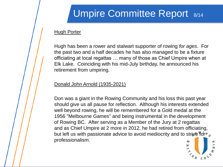# Umpire Committee Report 8/14

#### **Hugh Porter**

Hugh has been a rower and stalwart supporter of rowing *for ages*. For the past two and a half decades he has also managed to be a fixture officiating at local regattas … many of those as Chief Umpire when at Elk Lake. Coinciding with his mid-July birthday, he announced his retirement from umpiring.

#### Donald John Arnold (1935-2021)

Don was a giant in the Rowing Community and his loss this past year should give us all pause for reflection. Although his interests extended well beyond rowing, he will be remembered for a Gold medal at the 1956 "Melbourne Games" and being instrumental in the development of Rowing BC. After serving as a Member of the Jury at 2 regattas and as Chief Umpire at 2 more in 2012, he had retired from officiating, but left us with passionate advice to avoid mediocrity and to strive for  $\sim_{\infty}$ professionalism.

ᄇ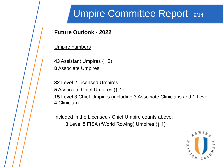## Umpire Committee Report 9/14

### **Future Outlook - 2022**

Umpire numbers

**43** Assistant Umpires (↓ 2)

**8** Associate Umpires

**32** Level 2 Licensed Umpires

**5** Associate Chief Umpires (↑ 1)

**15** Level 3 Chief Umpires (including 3 Associate Clinicians and 1 Level 4 Clinician)

Included in the Licensed / Chief Umpire counts above: 3 Level 5 FISA (/World Rowing) Umpires (↑ 1)

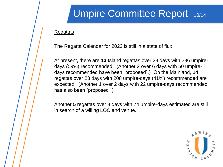# Umpire Committee Report 10/14

#### **Regattas**

The Regatta Calendar for 2022 is still in a state of flux.

At present, there are **13** Island regattas over 23 days with 296 umpiredays (59%) recommended. (Another 2 over 6 days with 50 umpiredays recommended have been "proposed".) On the Mainland, **14**  regattas over 23 days with 208 umpire-days (41%) recommended are expected. (Another 1 over 2 days with 22 umpire-days recommended has also been "proposed".)

Another **5** regattas over 8 days with 74 umpire-days estimated are still in search of a willing LOC and venue.

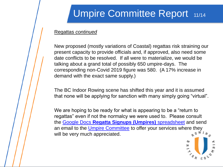# Umpire Committee Report 11/14

#### Regattas *continued*

New proposed (mostly variations of Coastal) regattas risk straining our present capacity to provide officials and, if approved, also need some date conflicts to be resolved. If all were to materialize, we would be talking about a grand total of possibly 650 umpire-days. The corresponding non-Covid 2019 figure was 580. (A 17% increase in demand with the exact same supply.)

The BC Indoor Rowing scene has shifted this year and it is assumed that none will be applying for sanction with many simply going "virtual".

We are hoping to be ready for what is appearing to be a "return to regattas" even if not the normalcy we were used to. Please consult the [Google Docs](https://docs.google.com/spreadsheets/d/16TnvKnrl3xaZrkJZ6MJKrUdW5AIVT3z9_-KTFXPNogU/edit#gid=0) **[Regatta Signups \(Umpires\)](https://docs.google.com/spreadsheets/d/16TnvKnrl3xaZrkJZ6MJKrUdW5AIVT3z9_-KTFXPNogU/edit#gid=0)** [spreadsheet](https://docs.google.com/spreadsheets/d/16TnvKnrl3xaZrkJZ6MJKrUdW5AIVT3z9_-KTFXPNogU/edit#gid=0) and send an email to the [Umpire Committee](mailto:ucommittee@rowingbc.ca) to offer your services where they will be very much appreciated.

Ε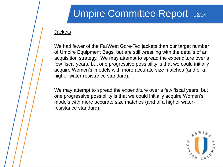# Umpire Committee Report 12/14

#### **Jackets**

We had fewer of the FarWest Gore-Tex jackets than our target number of Umpire Equipment Bags, but are still wrestling with the details of an acquisition strategy. We may attempt to spread the expenditure over a few fiscal years, but one progressive possibility is that we could initially acquire Women's' models with more accurate size matches (and of a higher water-resistance standard).

We may attempt to spread the expenditure over a few fiscal years, but one progressive possibility is that we could initially acquire Women's models with more accurate size matches (and of a higher waterresistance standard).

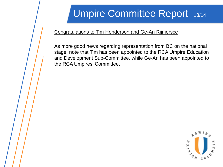# Umpire Committee Report 13/14

#### Congratulations to Tim Henderson and Ge-An Rijniersce

As more good news regarding representation from BC on the national stage, note that Tim has been appointed to the RCA Umpire Education and Development Sub-Committee, while Ge-An has been appointed to the RCA Umpires' Committee.